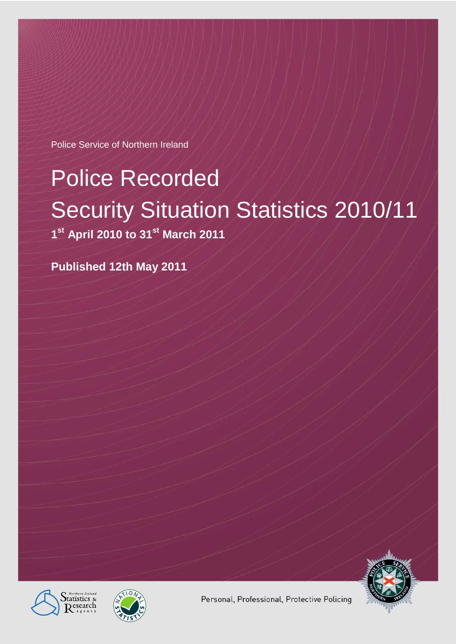Police Service of Northern Ireland

# Police Recorded Security Situation Statistics 2010/11

**1 st April 2010 to 31st March 2011**

**Published 12th May 2011**







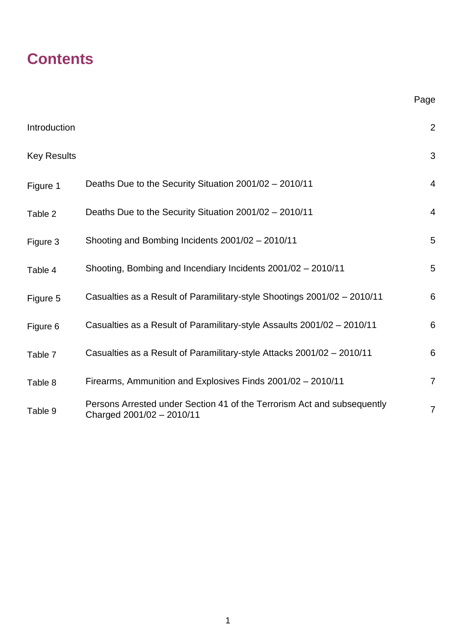# **Contents**

| Introduction       |                                                                                                      | $\overline{2}$ |
|--------------------|------------------------------------------------------------------------------------------------------|----------------|
| <b>Key Results</b> |                                                                                                      | 3              |
| Figure 1           | Deaths Due to the Security Situation 2001/02 - 2010/11                                               | $\overline{4}$ |
| Table 2            | Deaths Due to the Security Situation 2001/02 - 2010/11                                               | $\overline{4}$ |
| Figure 3           | Shooting and Bombing Incidents 2001/02 - 2010/11                                                     | 5              |
| Table 4            | Shooting, Bombing and Incendiary Incidents 2001/02 - 2010/11                                         | 5              |
| Figure 5           | Casualties as a Result of Paramilitary-style Shootings 2001/02 - 2010/11                             | 6              |
| Figure 6           | Casualties as a Result of Paramilitary-style Assaults 2001/02 - 2010/11                              | 6              |
| Table 7            | Casualties as a Result of Paramilitary-style Attacks 2001/02 - 2010/11                               | 6              |
| Table 8            | Firearms, Ammunition and Explosives Finds 2001/02 - 2010/11                                          | $\overline{7}$ |
| Table 9            | Persons Arrested under Section 41 of the Terrorism Act and subsequently<br>Charged 2001/02 - 2010/11 | $\overline{7}$ |

Page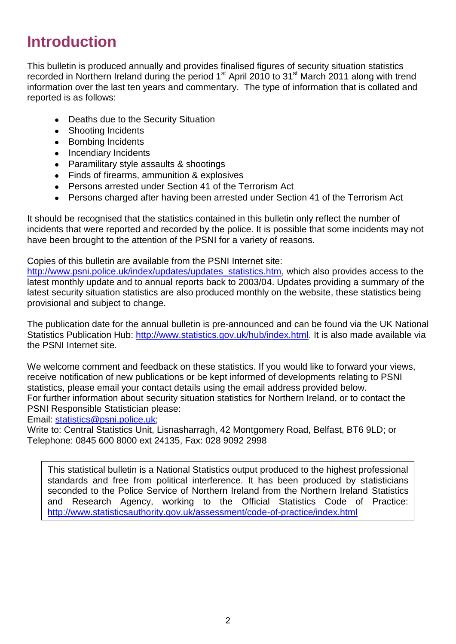# **Introduction**

This bulletin is produced annually and provides finalised figures of security situation statistics recorded in Northern Ireland during the period 1<sup>st</sup> April 2010 to 31<sup>st</sup> March 2011 along with trend information over the last ten years and commentary. The type of information that is collated and reported is as follows:

- Deaths due to the Security Situation
- Shooting Incidents
- Bombing Incidents
- Incendiary Incidents
- Paramilitary style assaults & shootings
- Finds of firearms, ammunition & explosives
- Persons arrested under Section 41 of the Terrorism Act
- Persons charged after having been arrested under Section 41 of the Terrorism Act

It should be recognised that the statistics contained in this bulletin only reflect the number of incidents that were reported and recorded by the police. It is possible that some incidents may not have been brought to the attention of the PSNI for a variety of reasons.

Copies of this bulletin are available from the PSNI Internet site:

[http://www.psni.police.uk/index/updates/updates\\_statistics.htm,](http://www.psni.police.uk/index/updates/updates_statistics.htm) which also provides access to the latest monthly update and to annual reports back to 2003/04. Updates providing a summary of the latest security situation statistics are also produced monthly on the website, these statistics being provisional and subject to change.

The publication date for the annual bulletin is pre-announced and can be found via the UK National Statistics Publication Hub: [http://www.statistics.gov.uk/hub/index.html.](http://www.statistics.gov.uk/hub/index.html) It is also made available via the PSNI Internet site.

We welcome comment and feedback on these statistics. If you would like to forward your views, receive notification of new publications or be kept informed of developments relating to PSNI statistics, please email your contact details using the email address provided below. For further information about security situation statistics for Northern Ireland, or to contact the PSNI Responsible Statistician please:

Email: [statistics@psni.police.uk;](mailto:statistics@psni.police.uk)

Write to: Central Statistics Unit, Lisnasharragh, 42 Montgomery Road, Belfast, BT6 9LD; or Telephone: 0845 600 8000 ext 24135, Fax: 028 9092 2998

This statistical bulletin is a National Statistics output produced to the highest professional standards and free from political interference. It has been produced by statisticians seconded to the Police Service of Northern Ireland from the Northern Ireland Statistics and Research Agency, working to the Official Statistics Code of Practice: <http://www.statisticsauthority.gov.uk/assessment/code-of-practice/index.html>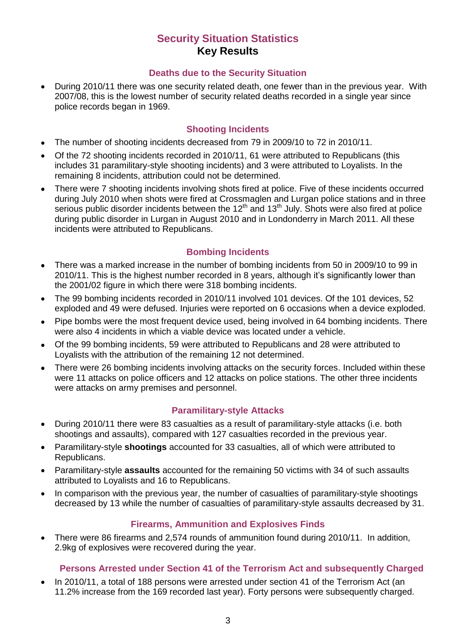# **Security Situation Statistics Key Results**

#### **Deaths due to the Security Situation**

During 2010/11 there was one security related death, one fewer than in the previous year. With 2007/08, this is the lowest number of security related deaths recorded in a single year since police records began in 1969.

## **Shooting Incidents**

- The number of shooting incidents decreased from 79 in 2009/10 to 72 in 2010/11.  $\bullet$
- Of the 72 shooting incidents recorded in 2010/11, 61 were attributed to Republicans (this includes 31 paramilitary-style shooting incidents) and 3 were attributed to Loyalists. In the remaining 8 incidents, attribution could not be determined.
- There were 7 shooting incidents involving shots fired at police. Five of these incidents occurred during July 2010 when shots were fired at Crossmaglen and Lurgan police stations and in three serious public disorder incidents between the 12<sup>th</sup> and 13<sup>th</sup> July. Shots were also fired at police during public disorder in Lurgan in August 2010 and in Londonderry in March 2011. All these incidents were attributed to Republicans.

# **Bombing Incidents**

- There was a marked increase in the number of bombing incidents from 50 in 2009/10 to 99 in  $\bullet$ 2010/11. This is the highest number recorded in 8 years, although it's significantly lower than the 2001/02 figure in which there were 318 bombing incidents.
- The 99 bombing incidents recorded in 2010/11 involved 101 devices. Of the 101 devices, 52 exploded and 49 were defused. Injuries were reported on 6 occasions when a device exploded.
- Pipe bombs were the most frequent device used, being involved in 64 bombing incidents. There were also 4 incidents in which a viable device was located under a vehicle.
- Of the 99 bombing incidents, 59 were attributed to Republicans and 28 were attributed to  $\bullet$ Loyalists with the attribution of the remaining 12 not determined.
- There were 26 bombing incidents involving attacks on the security forces. Included within these were 11 attacks on police officers and 12 attacks on police stations. The other three incidents were attacks on army premises and personnel.

# **Paramilitary-style Attacks**

- During 2010/11 there were 83 casualties as a result of paramilitary-style attacks (i.e. both  $\bullet$ shootings and assaults), compared with 127 casualties recorded in the previous year.
- Paramilitary-style **shootings** accounted for 33 casualties, all of which were attributed to Republicans.
- Paramilitary-style **assaults** accounted for the remaining 50 victims with 34 of such assaults attributed to Loyalists and 16 to Republicans.
- In comparison with the previous year, the number of casualties of paramilitary-style shootings decreased by 13 while the number of casualties of paramilitary-style assaults decreased by 31.

### **Firearms, Ammunition and Explosives Finds**

There were 86 firearms and 2,574 rounds of ammunition found during 2010/11. In addition, 2.9kg of explosives were recovered during the year.

# **Persons Arrested under Section 41 of the Terrorism Act and subsequently Charged**

In 2010/11, a total of 188 persons were arrested under section 41 of the Terrorism Act (an 11.2% increase from the 169 recorded last year). Forty persons were subsequently charged.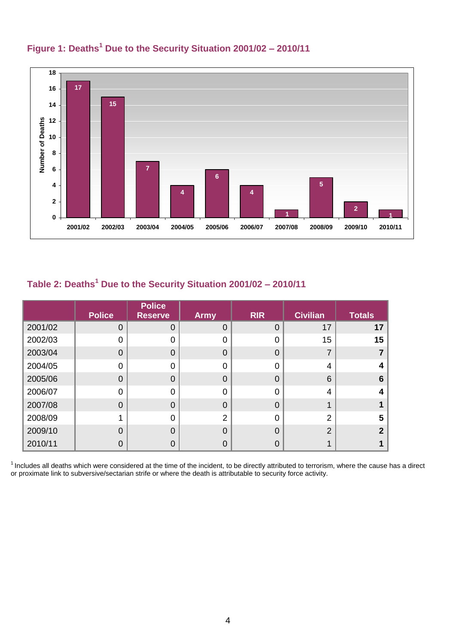

# **Figure 1: Deaths<sup>1</sup> Due to the Security Situation 2001/02 – 2010/11**

# **Table 2: Deaths<sup>1</sup> Due to the Security Situation 2001/02 – 2010/11**

|         | <b>Police</b>  | <b>Police</b><br><b>Reserve</b> | <b>Army</b>    | <b>RIR</b>     | <b>Civilian</b> | <b>Totals</b> |
|---------|----------------|---------------------------------|----------------|----------------|-----------------|---------------|
| 2001/02 | 0              | 0                               | $\Omega$       | $\overline{0}$ | 17              | 17            |
| 2002/03 | 0              | 0                               | ი              | $\overline{0}$ | 15              | 15            |
| 2003/04 | 0              | $\overline{0}$                  | 0              | $\overline{0}$ |                 |               |
| 2004/05 | 0              | 0                               | ∩              | $\mathbf 0$    | 4               |               |
| 2005/06 | $\mathbf 0$    | $\overline{0}$                  | O              | $\overline{0}$ | 6               | 6             |
| 2006/07 | 0              | 0                               | ∩              | $\overline{0}$ | 4               |               |
| 2007/08 | $\overline{0}$ | $\overline{0}$                  | $\Omega$       | $\overline{0}$ |                 |               |
| 2008/09 |                | 0                               | $\overline{2}$ | $\mathbf 0$    | $\overline{2}$  | 5             |
| 2009/10 | 0              | $\overline{0}$                  | $\Omega$       | $\overline{0}$ | $\overline{2}$  | າ             |
| 2010/11 | 0              | 0                               |                | $\overline{0}$ |                 |               |

 $1$  Includes all deaths which were considered at the time of the incident, to be directly attributed to terrorism, where the cause has a direct or proximate link to subversive/sectarian strife or where the death is attributable to security force activity.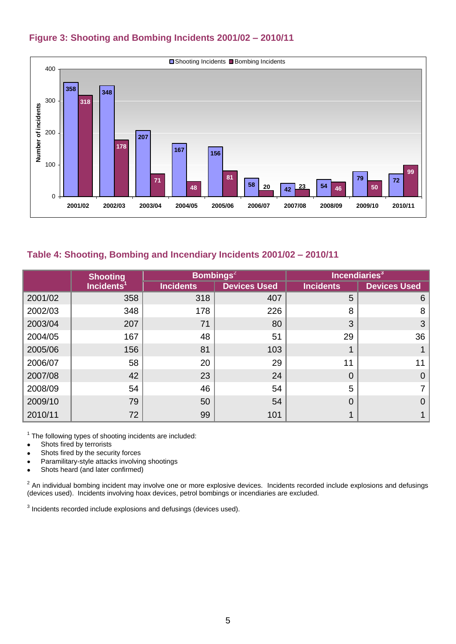

### **Figure 3: Shooting and Bombing Incidents 2001/02 – 2010/11**

#### **Table 4: Shooting, Bombing and Incendiary Incidents 2001/02 – 2010/11**

|         | <b>Shooting</b>        |                  | Bombings <sup>2</sup> |                  | Incendiaries <sup>3</sup> |
|---------|------------------------|------------------|-----------------------|------------------|---------------------------|
|         | Incidents <sup>1</sup> | <b>Incidents</b> | <b>Devices Used</b>   | <b>Incidents</b> | <b>Devices Used</b>       |
| 2001/02 | 358                    | 318              | 407                   | 5                | 6                         |
| 2002/03 | 348                    | 178              | 226                   | 8                | 8                         |
| 2003/04 | 207                    | 71               | 80                    | 3                | 3                         |
| 2004/05 | 167                    | 48               | 51                    | 29               | 36                        |
| 2005/06 | 156                    | 81               | 103                   |                  |                           |
| 2006/07 | 58                     | 20               | 29                    | 11               | 11                        |
| 2007/08 | 42                     | 23               | 24                    | $\Omega$         | $\Omega$                  |
| 2008/09 | 54                     | 46               | 54                    | 5                |                           |
| 2009/10 | 79                     | 50               | 54                    | 0                | $\overline{0}$            |
| 2010/11 | 72                     | 99               | 101                   |                  |                           |

 $1$  The following types of shooting incidents are included:

- Shots fired by terrorists  $\bullet$
- Shots fired by the security forces  $\bullet$
- Paramilitary-style attacks involving shootings  $\bullet$
- Shots heard (and later confirmed)  $\bullet$

 $2$  An individual bombing incident may involve one or more explosive devices. Incidents recorded include explosions and defusings (devices used). Incidents involving hoax devices, petrol bombings or incendiaries are excluded.

 $3$  Incidents recorded include explosions and defusings (devices used).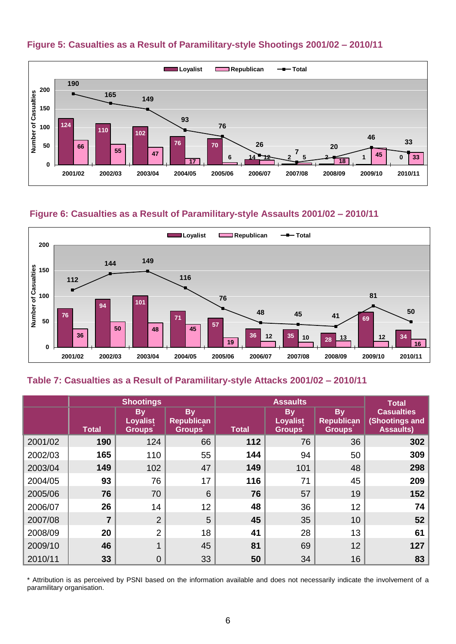



#### **Figure 6: Casualties as a Result of Paramilitary-style Assaults 2001/02 – 2010/11**



#### **Table 7: Casualties as a Result of Paramilitary-style Attacks 2001/02 – 2010/11**

|         | <b>Shootings</b> |                                               | <b>Assaults</b>                                 |       |                                        | <b>Total</b>                                    |                                                         |
|---------|------------------|-----------------------------------------------|-------------------------------------------------|-------|----------------------------------------|-------------------------------------------------|---------------------------------------------------------|
|         | Total            | <b>By</b><br><b>Loyalist</b><br><b>Groups</b> | <b>By</b><br><b>Republican</b><br><b>Groups</b> | Total | <b>By</b><br>Loyalist<br><b>Groups</b> | <b>By</b><br><b>Republican</b><br><b>Groups</b> | <b>Casualties</b><br>(Shootings and<br><b>Assaults)</b> |
| 2001/02 | 190              | 124                                           | 66                                              | 112   | 76                                     | 36                                              | 302                                                     |
| 2002/03 | 165              | 110                                           | 55                                              | 144   | 94                                     | 50                                              | 309                                                     |
| 2003/04 | 149              | 102                                           | 47                                              | 149   | 101                                    | 48                                              | 298                                                     |
| 2004/05 | 93               | 76                                            | 17                                              | 116   | 71                                     | 45                                              | 209                                                     |
| 2005/06 | 76               | 70                                            | 6                                               | 76    | 57                                     | 19                                              | 152                                                     |
| 2006/07 | 26               | 14                                            | 12                                              | 48    | 36                                     | 12                                              | 74                                                      |
| 2007/08 | $\overline{7}$   | 2                                             | 5                                               | 45    | 35                                     | 10                                              | 52                                                      |
| 2008/09 | 20               | 2                                             | 18                                              | 41    | 28                                     | 13                                              | 61                                                      |
| 2009/10 | 46               |                                               | 45                                              | 81    | 69                                     | 12                                              | 127                                                     |
| 2010/11 | 33               | $\overline{0}$                                | 33                                              | 50    | 34                                     | 16                                              | 83                                                      |

\* Attribution is as perceived by PSNI based on the information available and does not necessarily indicate the involvement of a paramilitary organisation.